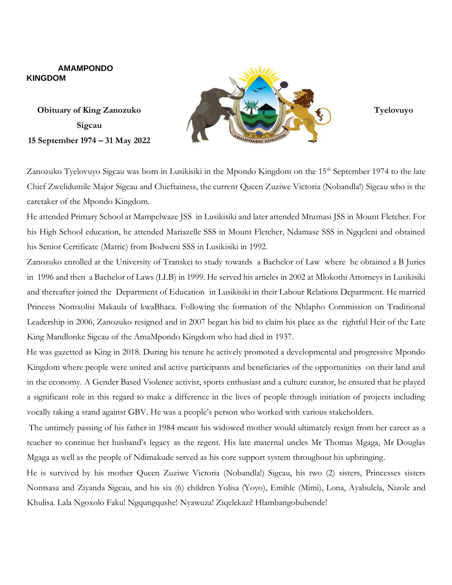## **AMAMPONDO KINGDOM**

**Sigcau 15 September 1974 – 31 May 2022**



Zanozuko Tyelovuyo Sigcau was born in Lusikisiki in the Mpondo Kingdom on the 15<sup>th</sup> September 1974 to the late Chief Zwelidumile Major Sigcau and Chieftainess, the current Queen Zuziwe Victoria (Nobandla!) Sigcau who is the caretaker of the Mpondo Kingdom.

He attended Primary School at Mampelwaze JSS in Lusikisiki and later attended Mtumasi JSS in Mount Fletcher. For his High School education, he attended Mariazelle SSS in Mount Fletcher, Ndamase SSS in Ngqeleni and obtained his Senior Certificate (Matric) from Bodweni SSS in Lusikisiki in 1992.

Zanozuko enrolled at the University of Transkei to study towards a Bachelor of Law where he obtained a B Juries in 1996 and then a Bachelor of Laws (LLB) in 1999. He served his articles in 2002 at Mlokothi Attorneys in Lusikisiki and thereafter joined the Department of Education in Lusikisiki in their Labour Relations Department. He married Princess Nomxolisi Makaula of kwaBhaca. Following the formation of the Nhlapho Commission on Traditional Leadership in 2006, Zanozuko resigned and in 2007 began his bid to claim his place as the rightful Heir of the Late King Mandlonke Sigcau of the AmaMpondo Kingdom who had died in 1937.

He was gazetted as King in 2018. During his tenure he actively promoted a developmental and progressive Mpondo Kingdom where people were united and active participants and beneficiaries of the opportunities on their land and in the economy. A Gender Based Violence activist, sports enthusiast and a culture curator, he ensured that he played a significant role in this regard to make a difference in the lives of people through initiation of projects including vocally taking a stand against GBV. He was a people's person who worked with various stakeholders.

The untimely passing of his father in 1984 meant his widowed mother would ultimately resign from her career as a teacher to continue her husband's legacy as the regent. His late maternal uncles Mr Thomas Mgaga, Mr Douglas Mgaga as well as the people of Ndimakude served as his core support system throughout his upbringing.

He is survived by his mother Queen Zuziwe Victoria (Nobandla!) Sigcau, his two (2) sisters, Princesses sisters Nontsasa and Ziyanda Sigcau, and his six (6) children Yolisa (Yoyo), Emihle (Mimi), Lona, Ayabulela, Nizole and Khulisa. Lala Ngoxolo Faku! Ngqungqushe! Nyawuza! Ziqelekazi! Hlambangobubende!